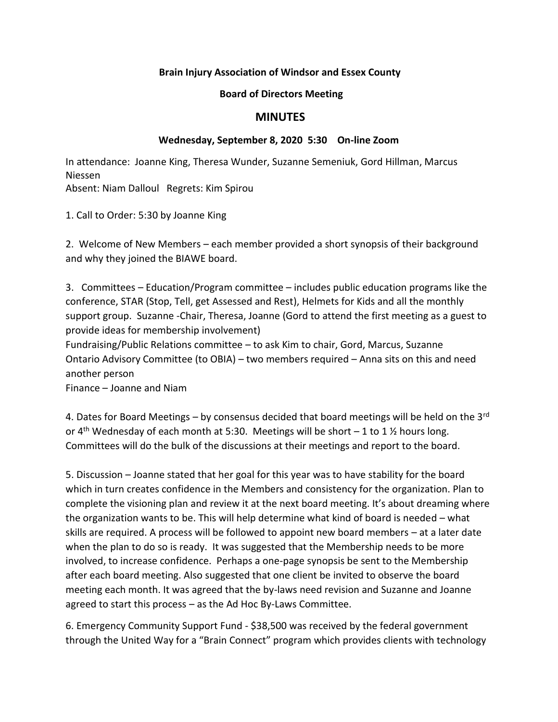## **Brain Injury Association of Windsor and Essex County**

## **Board of Directors Meeting**

## **MINUTES**

## **Wednesday, September 8, 2020 5:30 On-line Zoom**

In attendance: Joanne King, Theresa Wunder, Suzanne Semeniuk, Gord Hillman, Marcus Niessen Absent: Niam Dalloul Regrets: Kim Spirou

1. Call to Order: 5:30 by Joanne King

2. Welcome of New Members – each member provided a short synopsis of their background and why they joined the BIAWE board.

3. Committees – Education/Program committee – includes public education programs like the conference, STAR (Stop, Tell, get Assessed and Rest), Helmets for Kids and all the monthly support group. Suzanne -Chair, Theresa, Joanne (Gord to attend the first meeting as a guest to provide ideas for membership involvement)

Fundraising/Public Relations committee – to ask Kim to chair, Gord, Marcus, Suzanne Ontario Advisory Committee (to OBIA) – two members required – Anna sits on this and need another person

Finance – Joanne and Niam

4. Dates for Board Meetings – by consensus decided that board meetings will be held on the  $3<sup>rd</sup>$ or 4<sup>th</sup> Wednesday of each month at 5:30. Meetings will be short  $-1$  to 1  $\frac{1}{2}$  hours long. Committees will do the bulk of the discussions at their meetings and report to the board.

5. Discussion – Joanne stated that her goal for this year was to have stability for the board which in turn creates confidence in the Members and consistency for the organization. Plan to complete the visioning plan and review it at the next board meeting. It's about dreaming where the organization wants to be. This will help determine what kind of board is needed – what skills are required. A process will be followed to appoint new board members – at a later date when the plan to do so is ready. It was suggested that the Membership needs to be more involved, to increase confidence. Perhaps a one-page synopsis be sent to the Membership after each board meeting. Also suggested that one client be invited to observe the board meeting each month. It was agreed that the by-laws need revision and Suzanne and Joanne agreed to start this process – as the Ad Hoc By-Laws Committee.

6. Emergency Community Support Fund - \$38,500 was received by the federal government through the United Way for a "Brain Connect" program which provides clients with technology